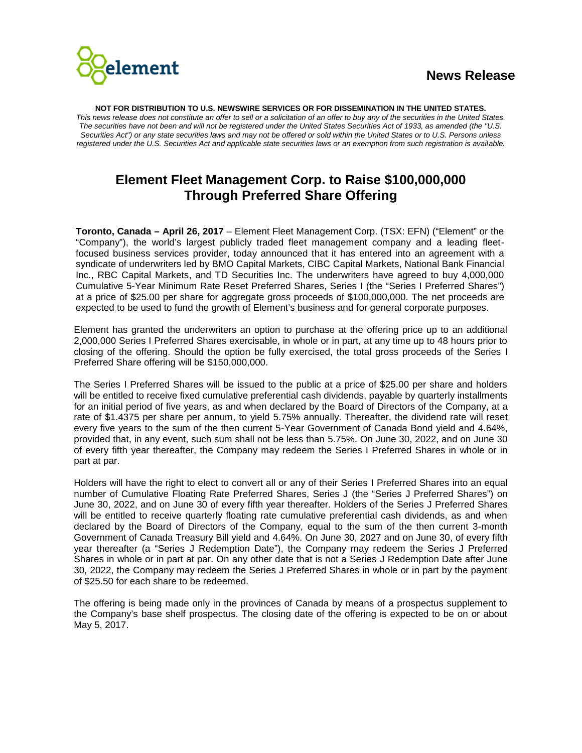

**NOT FOR DISTRIBUTION TO U.S. NEWSWIRE SERVICES OR FOR DISSEMINATION IN THE UNITED STATES.**  *This news release does not constitute an offer to sell or a solicitation of an offer to buy any of the securities in the United States. The securities have not been and will not be registered under the United States Securities Act of 1933, as amended (the "U.S. Securities Act") or any state securities laws and may not be offered or sold within the United States or to U.S. Persons unless registered under the U.S. Securities Act and applicable state securities laws or an exemption from such registration is available.*

## **Element Fleet Management Corp. to Raise \$100,000,000 Through Preferred Share Offering**

**Toronto, Canada – April 26, 2017** – Element Fleet Management Corp. (TSX: EFN) ("Element" or the "Company"), the world's largest publicly traded fleet management company and a leading fleetfocused business services provider, today announced that it has entered into an agreement with a syndicate of underwriters led by BMO Capital Markets, CIBC Capital Markets, National Bank Financial Inc., RBC Capital Markets, and TD Securities Inc. The underwriters have agreed to buy 4,000,000 Cumulative 5-Year Minimum Rate Reset Preferred Shares, Series I (the "Series I Preferred Shares") at a price of \$25.00 per share for aggregate gross proceeds of \$100,000,000. The net proceeds are expected to be used to fund the growth of Element's business and for general corporate purposes.

Element has granted the underwriters an option to purchase at the offering price up to an additional 2,000,000 Series I Preferred Shares exercisable, in whole or in part, at any time up to 48 hours prior to closing of the offering. Should the option be fully exercised, the total gross proceeds of the Series I Preferred Share offering will be \$150,000,000.

The Series I Preferred Shares will be issued to the public at a price of \$25.00 per share and holders will be entitled to receive fixed cumulative preferential cash dividends, payable by quarterly installments for an initial period of five years, as and when declared by the Board of Directors of the Company, at a rate of \$1.4375 per share per annum, to yield 5.75% annually. Thereafter, the dividend rate will reset every five years to the sum of the then current 5-Year Government of Canada Bond yield and 4.64%, provided that, in any event, such sum shall not be less than 5.75%. On June 30, 2022, and on June 30 of every fifth year thereafter, the Company may redeem the Series I Preferred Shares in whole or in part at par.

Holders will have the right to elect to convert all or any of their Series I Preferred Shares into an equal number of Cumulative Floating Rate Preferred Shares, Series J (the "Series J Preferred Shares") on June 30, 2022, and on June 30 of every fifth year thereafter. Holders of the Series J Preferred Shares will be entitled to receive quarterly floating rate cumulative preferential cash dividends, as and when declared by the Board of Directors of the Company, equal to the sum of the then current 3-month Government of Canada Treasury Bill yield and 4.64%. On June 30, 2027 and on June 30, of every fifth year thereafter (a "Series J Redemption Date"), the Company may redeem the Series J Preferred Shares in whole or in part at par. On any other date that is not a Series J Redemption Date after June 30, 2022, the Company may redeem the Series J Preferred Shares in whole or in part by the payment of \$25.50 for each share to be redeemed.

The offering is being made only in the provinces of Canada by means of a prospectus supplement to the Company's base shelf prospectus. The closing date of the offering is expected to be on or about May 5, 2017.